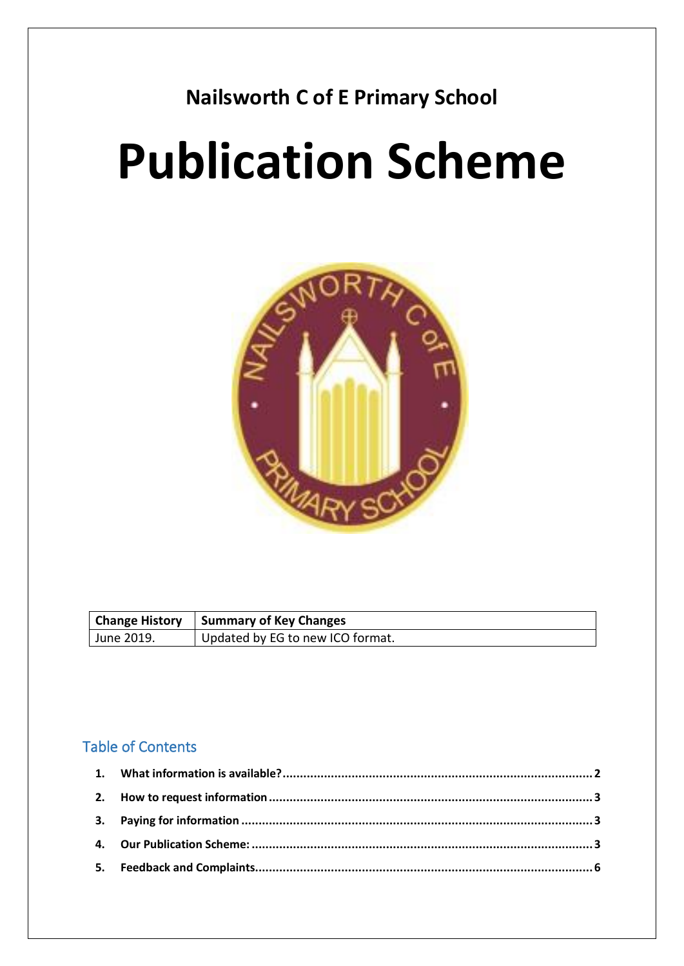# **Nailsworth C of E Primary School**

# **Publication Scheme**



|            | Change History   Summary of Key Changes |
|------------|-----------------------------------------|
| June 2019. | Updated by EG to new ICO format.        |

# Table of Contents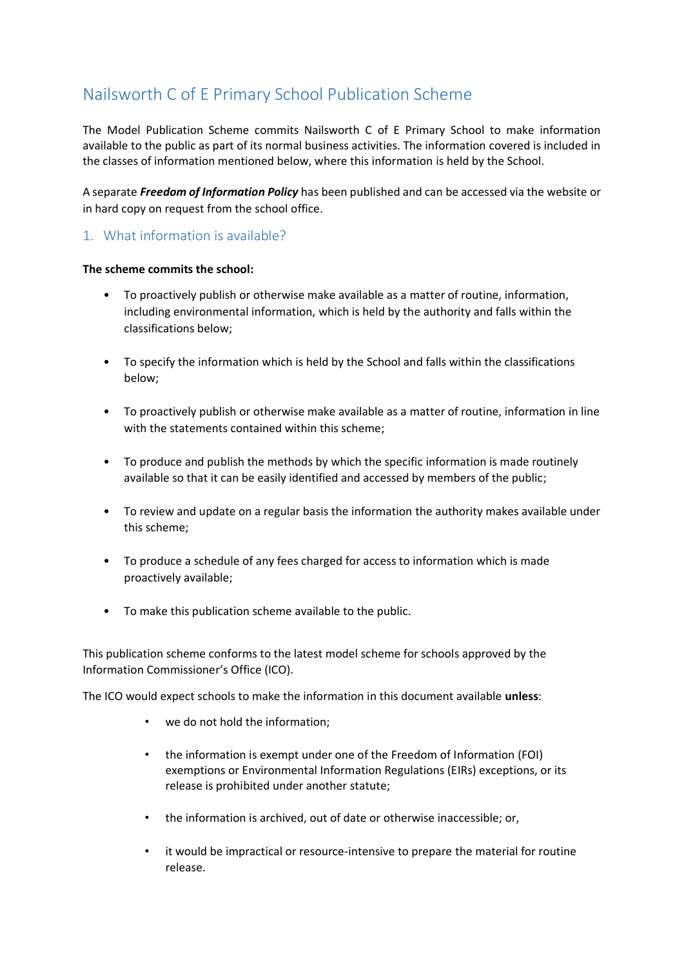# Nailsworth C of E Primary School Publication Scheme

The Model Publication Scheme commits Nailsworth C of E Primary School to make information available to the public as part of its normal business activities. The information covered is included in the classes of information mentioned below, where this information is held by the School.

A separate *Freedom of Information Policy* has been published and can be accessed via the website or in hard copy on request from the school office.

### <span id="page-1-0"></span>1. What information is available?

#### **The scheme commits the school:**

- To proactively publish or otherwise make available as a matter of routine, information, including environmental information, which is held by the authority and falls within the classifications below;
- To specify the information which is held by the School and falls within the classifications below;
- To proactively publish or otherwise make available as a matter of routine, information in line with the statements contained within this scheme;
- To produce and publish the methods by which the specific information is made routinely available so that it can be easily identified and accessed by members of the public;
- To review and update on a regular basis the information the authority makes available under this scheme;
- To produce a schedule of any fees charged for access to information which is made proactively available;
- To make this publication scheme available to the public.

This publication scheme conforms to the latest model scheme for schools approved by the Information Commissioner's Office (ICO).

The ICO would expect schools to make the information in this document available **unless**:

- we do not hold the information;
- the information is exempt under one of the Freedom of Information (FOI) exemptions or Environmental Information Regulations (EIRs) exceptions, or its release is prohibited under another statute;
- the information is archived, out of date or otherwise inaccessible; or,
- it would be impractical or resource-intensive to prepare the material for routine release.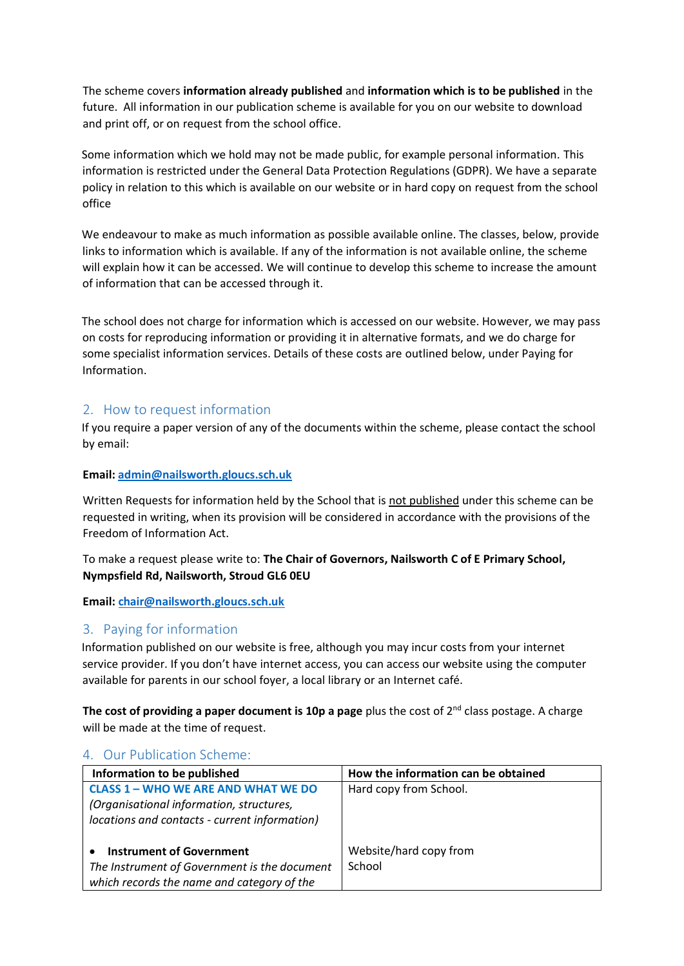The scheme covers **information already published** and **information which is to be published** in the future. All information in our publication scheme is available for you on our website to download and print off, or on request from the school office.

Some information which we hold may not be made public, for example personal information. This information is restricted under the General Data Protection Regulations (GDPR). We have a separate policy in relation to this which is available on our website or in hard copy on request from the school office

We endeavour to make as much information as possible available online. The classes, below, provide links to information which is available. If any of the information is not available online, the scheme will explain how it can be accessed. We will continue to develop this scheme to increase the amount of information that can be accessed through it.

The school does not charge for information which is accessed on our website. However, we may pass on costs for reproducing information or providing it in alternative formats, and we do charge for some specialist information services. Details of these costs are outlined below, under Paying for Information.

#### <span id="page-2-0"></span>2. How to request information

If you require a paper version of any of the documents within the scheme, please contact the school by email:

#### **Email[: admin@nailsworth.gloucs.sch.uk](mailto:admin@nailsworth.gloucs.sch.uk)**

Written Requests for information held by the School that is not published under this scheme can be requested in writing, when its provision will be considered in accordance with the provisions of the Freedom of Information Act.

#### To make a request please write to: **The Chair of Governors, Nailsworth C of E Primary School, Nympsfield Rd, Nailsworth, Stroud GL6 0EU**

**Email[: chair@nailsworth.gloucs.sch.uk](mailto:chair@nailsworth.gloucs.sch.uk)**

#### <span id="page-2-1"></span>3. Paying for information

Information published on our website is free, although you may incur costs from your internet service provider. If you don't have internet access, you can access our website using the computer available for parents in our school foyer, a local library or an Internet café.

**The cost of providing a paper document is 10p a page** plus the cost of 2nd class postage. A charge will be made at the time of request.

#### Information to be published **How the information can be obtained CLASS 1 – WHO WE ARE AND WHAT WE DO**  *(Organisational information, structures, locations and contacts - current information)*  • **Instrument of Government**  *The Instrument of Government is the document which records the name and category of the*  Hard copy from School. Website/hard copy from School

#### <span id="page-2-2"></span>4. Our Publication Scheme: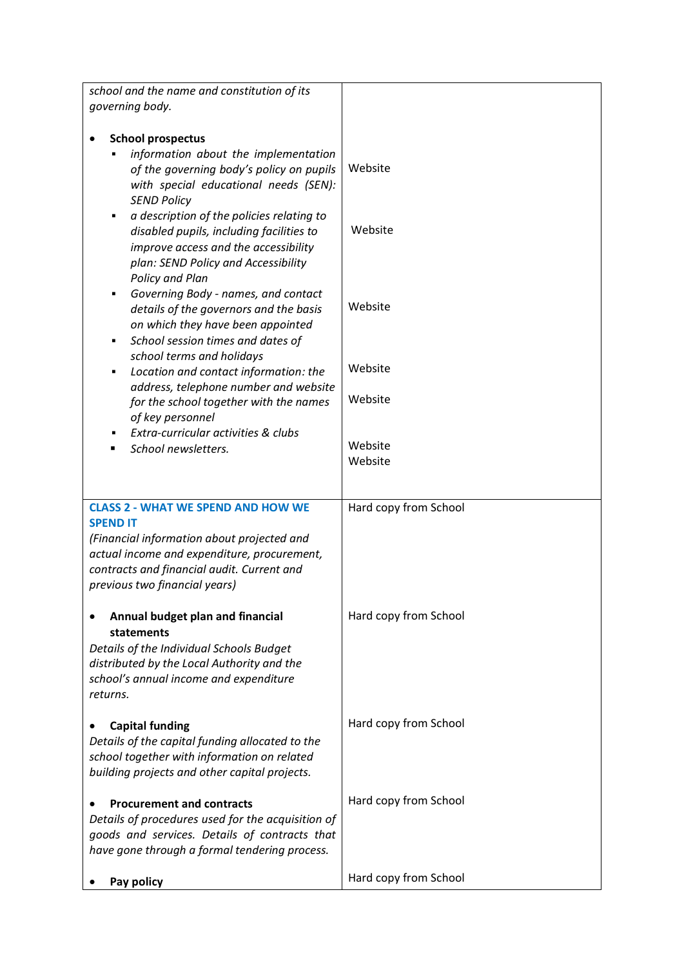| school and the name and constitution of its                                                                                                                                                                                                                                                                                                              |                       |
|----------------------------------------------------------------------------------------------------------------------------------------------------------------------------------------------------------------------------------------------------------------------------------------------------------------------------------------------------------|-----------------------|
| governing body.                                                                                                                                                                                                                                                                                                                                          |                       |
| <b>School prospectus</b><br>information about the implementation<br>of the governing body's policy on pupils<br>with special educational needs (SEN):<br><b>SEND Policy</b><br>a description of the policies relating to<br>٠<br>disabled pupils, including facilities to<br>improve access and the accessibility<br>plan: SEND Policy and Accessibility | Website<br>Website    |
| Policy and Plan<br>Governing Body - names, and contact<br>٠<br>details of the governors and the basis<br>on which they have been appointed<br>School session times and dates of<br>٠                                                                                                                                                                     | Website               |
| school terms and holidays<br>Location and contact information: the<br>٠<br>address, telephone number and website                                                                                                                                                                                                                                         | Website               |
| for the school together with the names<br>of key personnel                                                                                                                                                                                                                                                                                               | Website               |
| Extra-curricular activities & clubs<br>School newsletters.                                                                                                                                                                                                                                                                                               | Website<br>Website    |
| <b>CLASS 2 - WHAT WE SPEND AND HOW WE</b><br><b>SPEND IT</b><br>(Financial information about projected and<br>actual income and expenditure, procurement,<br>contracts and financial audit. Current and<br>previous two financial years)                                                                                                                 | Hard copy from School |
| Annual budget plan and financial<br>statements<br>Details of the Individual Schools Budget<br>distributed by the Local Authority and the<br>school's annual income and expenditure<br>returns.                                                                                                                                                           | Hard copy from School |
| <b>Capital funding</b><br>Details of the capital funding allocated to the<br>school together with information on related<br>building projects and other capital projects.                                                                                                                                                                                | Hard copy from School |
| <b>Procurement and contracts</b><br>Details of procedures used for the acquisition of<br>goods and services. Details of contracts that<br>have gone through a formal tendering process.                                                                                                                                                                  | Hard copy from School |
| Pay policy                                                                                                                                                                                                                                                                                                                                               | Hard copy from School |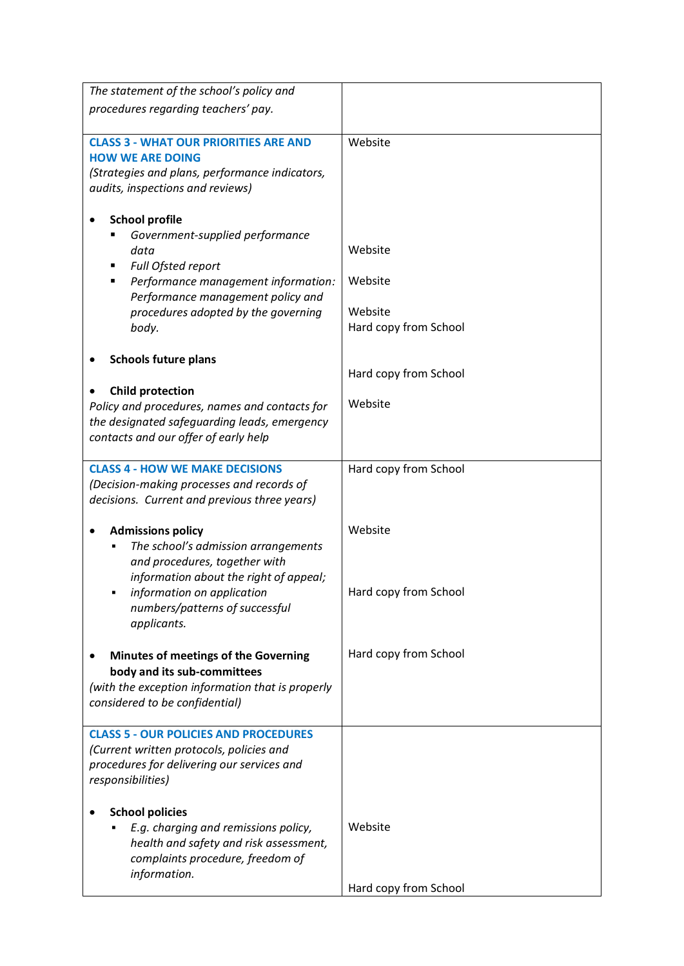| The statement of the school's policy and                                             |                       |
|--------------------------------------------------------------------------------------|-----------------------|
| procedures regarding teachers' pay.                                                  |                       |
|                                                                                      |                       |
| <b>CLASS 3 - WHAT OUR PRIORITIES ARE AND</b>                                         | Website               |
| <b>HOW WE ARE DOING</b>                                                              |                       |
| (Strategies and plans, performance indicators,                                       |                       |
| audits, inspections and reviews)                                                     |                       |
|                                                                                      |                       |
| <b>School profile</b><br>Government-supplied performance                             |                       |
| data                                                                                 | Website               |
| Full Ofsted report                                                                   |                       |
| Performance management information:                                                  | Website               |
| Performance management policy and                                                    |                       |
| procedures adopted by the governing                                                  | Website               |
| body.                                                                                | Hard copy from School |
|                                                                                      |                       |
| <b>Schools future plans</b>                                                          |                       |
|                                                                                      | Hard copy from School |
| <b>Child protection</b>                                                              | Website               |
| Policy and procedures, names and contacts for                                        |                       |
| the designated safeguarding leads, emergency<br>contacts and our offer of early help |                       |
|                                                                                      |                       |
| <b>CLASS 4 - HOW WE MAKE DECISIONS</b>                                               | Hard copy from School |
| (Decision-making processes and records of                                            |                       |
| decisions. Current and previous three years)                                         |                       |
|                                                                                      |                       |
| <b>Admissions policy</b>                                                             | Website               |
| The school's admission arrangements<br>and procedures, together with                 |                       |
| information about the right of appeal;                                               |                       |
| information on application                                                           | Hard copy from School |
| numbers/patterns of successful                                                       |                       |
| applicants.                                                                          |                       |
|                                                                                      |                       |
| Minutes of meetings of the Governing                                                 | Hard copy from School |
| body and its sub-committees                                                          |                       |
| (with the exception information that is properly                                     |                       |
| considered to be confidential)                                                       |                       |
| <b>CLASS 5 - OUR POLICIES AND PROCEDURES</b>                                         |                       |
| (Current written protocols, policies and                                             |                       |
| procedures for delivering our services and                                           |                       |
| responsibilities)                                                                    |                       |
|                                                                                      |                       |
| <b>School policies</b>                                                               |                       |
| E.g. charging and remissions policy,                                                 | Website               |
| health and safety and risk assessment,<br>complaints procedure, freedom of           |                       |
| information.                                                                         |                       |
|                                                                                      | Hard copy from School |